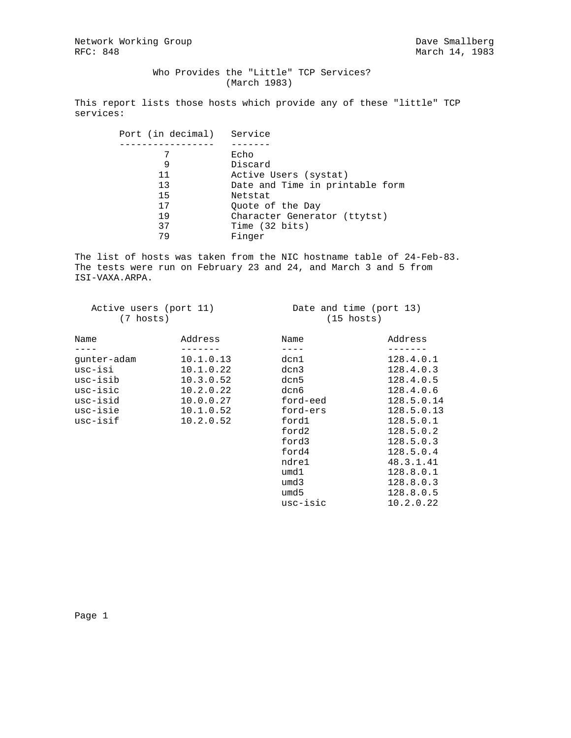Network Working Group and the Smallberg Dave Smallberg Dave Smallberg Dave Smallberg Dave Smallberg Dave Smallberg 2016

 Who Provides the "Little" TCP Services? (March 1983)

This report lists those hosts which provide any of these "little" TCP services:

| Port (in decimal) Service |                                 |
|---------------------------|---------------------------------|
|                           |                                 |
| 7                         | Echo                            |
| 9                         | Discard                         |
| 11                        | Active Users (systat)           |
| 13                        | Date and Time in printable form |
| 15                        | Netstat                         |
| 17                        | Ouote of the Day                |
| 19                        | Character Generator (ttytst)    |
| 37                        | Time (32 bits)                  |
| 79                        | Finger                          |

The list of hosts was taken from the NIC hostname table of 24-Feb-83. The tests were run on February 23 and 24, and March 3 and 5 from ISI-VAXA.ARPA.

| Active users (port 11) |  |
|------------------------|--|
| (7 hosts)              |  |

Date and time (port 13)  $(15 \text{ hosts})$ 

| Name        | Address   | Name     | Address    |
|-------------|-----------|----------|------------|
|             |           |          |            |
| qunter-adam | 10.1.0.13 | dcn1     | 128.4.0.1  |
| usc-isi     | 10.1.0.22 | dcn3     | 128.4.0.3  |
| usc-isib    | 10.3.0.52 | dcn5     | 128.4.0.5  |
| usc-isic    | 10.2.0.22 | dcn6     | 128.4.0.6  |
| usc-isid    | 10.0.0.27 | ford-eed | 128.5.0.14 |
| usc-isie    | 10.1.0.52 | ford-ers | 128.5.0.13 |
| usc-isif    | 10.2.0.52 | ford1    | 128.5.0.1  |
|             |           | ford2    | 128.5.0.2  |
|             |           | ford3    | 128.5.0.3  |
|             |           | ford4    | 128.5.0.4  |
|             |           | ndre1    | 48.3.1.41  |
|             |           | umd1     | 128.8.0.1  |
|             |           | umd3     | 128.8.0.3  |
|             |           | umd 5    | 128.8.0.5  |
|             |           | usc-isic | 10.2.0.22  |

Page 1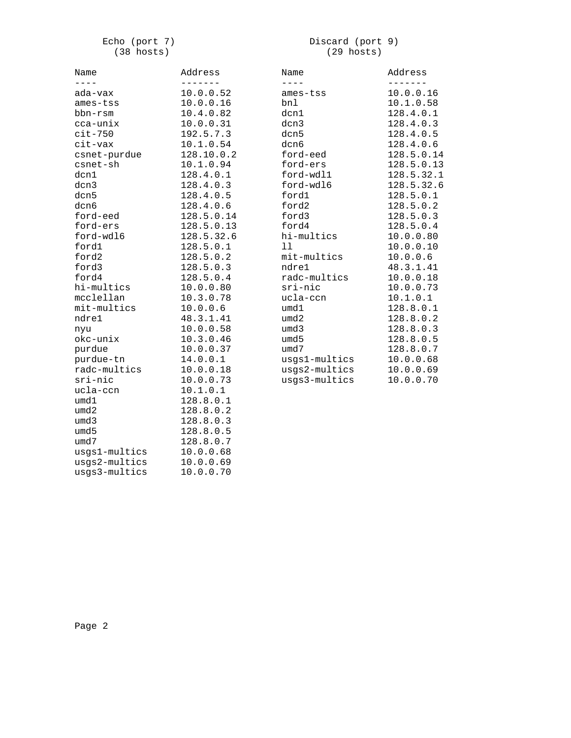### Echo (port 7)  $(38 \text{ hosts})$

### Discard (port 9)  $(29 \text{ hosts})$

| Name          | Address    | Name          | Address    |
|---------------|------------|---------------|------------|
| $- - -$       |            |               |            |
| ada-vax       | 10.0.0.52  | ames-tss      | 10.0.0.16  |
| ames-tss      | 10.0.0.16  | bnl           | 10.1.0.58  |
| bbn-rsm       | 10.4.0.82  | dcn1          | 128.4.0.1  |
| cca-unix      | 10.0.0.31  | dcn3          | 128.4.0.3  |
| $cit-750$     | 192.5.7.3  | dcn5          | 128.4.0.5  |
| cit-vax       | 10.1.0.54  | dcn6          | 128.4.0.6  |
| csnet-purdue  | 128.10.0.2 | ford-eed      | 128.5.0.14 |
| csnet-sh      | 10.1.0.94  | ford-ers      | 128.5.0.13 |
| dcn1          | 128.4.0.1  | ford-wdl1     | 128.5.32.1 |
| dcn3          | 128.4.0.3  | ford-wdl6     | 128.5.32.6 |
| dcn5          | 128.4.0.5  | ford1         | 128.5.0.1  |
| dcn6          | 128.4.0.6  | ford2         | 128.5.0.2  |
| ford-eed      | 128.5.0.14 | ford3         | 128.5.0.3  |
| ford-ers      | 128.5.0.13 | ford4         | 128.5.0.4  |
| ford-wdl6     | 128.5.32.6 | hi-multics    | 10.0.0.80  |
| ford1         | 128.5.0.1  | 11            | 10.0.0.10  |
| ford2         | 128.5.0.2  | mit-multics   | 10.0.0.6   |
| ford3         | 128.5.0.3  | ndre1         | 48.3.1.41  |
| ford4         | 128.5.0.4  | radc-multics  | 10.0.0.18  |
| hi-multics    | 10.0.0.80  | sri-nic       | 10.0.0.73  |
| mcclellan     | 10.3.0.78  | ucla-ccn      | 10.1.0.1   |
| mit-multics   | 10.0.0.6   | umd1          | 128.8.0.1  |
| ndre1         | 48.3.1.41  | umd2          | 128.8.0.2  |
| nyu           | 10.0.0.58  | umd3          | 128.8.0.3  |
| okc-unix      | 10.3.0.46  | umd5          | 128.8.0.5  |
| purdue        | 10.0.0.37  | umd7          | 128.8.0.7  |
| purdue-tn     | 14.0.0.1   | usgs1-multics | 10.0.0.68  |
| radc-multics  | 10.0.0.18  | usgs2-multics | 10.0.0.69  |
| sri-nic       | 10.0.0.73  | usgs3-multics | 10.0.0.70  |
| ucla-ccn      | 10.1.0.1   |               |            |
| umd1          | 128.8.0.1  |               |            |
| umd2          | 128.8.0.2  |               |            |
| umd3          | 128.8.0.3  |               |            |
| umd5          | 128.8.0.5  |               |            |
| umd7          | 128.8.0.7  |               |            |
| usgs1-multics | 10.0.0.68  |               |            |
| usgs2-multics | 10.0.0.69  |               |            |
| usgs3-multics | 10.0.0.70  |               |            |
|               |            |               |            |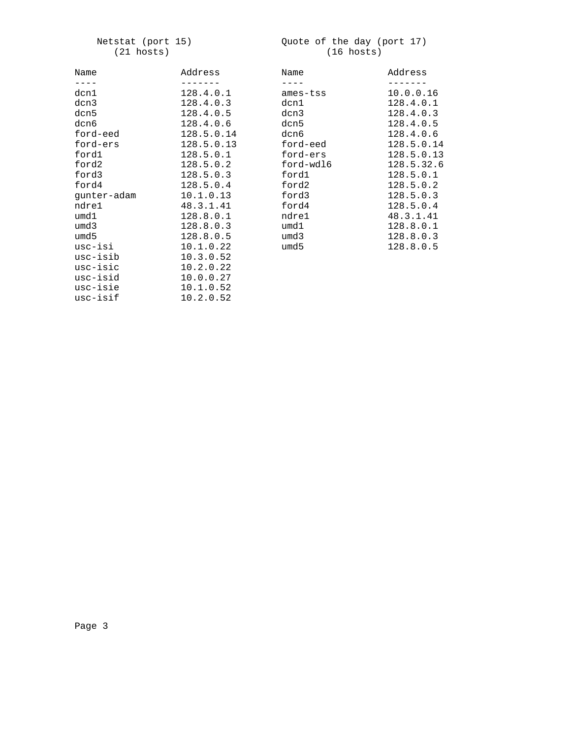#### Netstat (port 15) Quote of the day (port 17) (21 hosts) (16 hosts)

| Name        | Address    | Name      | Address    |
|-------------|------------|-----------|------------|
|             |            | $- - - -$ |            |
| dcn1        | 128.4.0.1  | ames-tss  | 10.0.0.16  |
| dcn3        | 128.4.0.3  | dcn1      | 128.4.0.1  |
| dcn5        | 128.4.0.5  | dcn3      | 128.4.0.3  |
| dcn6        | 128.4.0.6  | dcn5      | 128.4.0.5  |
| ford-eed    | 128.5.0.14 | dcn6      | 128.4.0.6  |
| ford-ers    | 128.5.0.13 | ford-eed  | 128.5.0.14 |
| ford1       | 128.5.0.1  | ford-ers  | 128.5.0.13 |
| ford2       | 128.5.0.2  | ford-wdl6 | 128.5.32.6 |
| ford3       | 128.5.0.3  | ford1     | 128.5.0.1  |
| ford4       | 128.5.0.4  | ford2     | 128.5.0.2  |
| qunter-adam | 10.1.0.13  | ford3     | 128.5.0.3  |
| ndre1       | 48.3.1.41  | ford4     | 128.5.0.4  |
| umd1        | 128.8.0.1  | ndre1     | 48.3.1.41  |
| umd3        | 128.8.0.3  | umd1      | 128.8.0.1  |
| umd 5       | 128.8.0.5  | umd3      | 128.8.0.3  |
| usc-isi     | 10.1.0.22  | umd 5     | 128.8.0.5  |
| usc-isib    | 10.3.0.52  |           |            |
| usc-isic    | 10.2.0.22  |           |            |
| usc-isid    | 10.0.0.27  |           |            |
| usc-isie    | 10.1.0.52  |           |            |
| usc-isif    | 10.2.0.52  |           |            |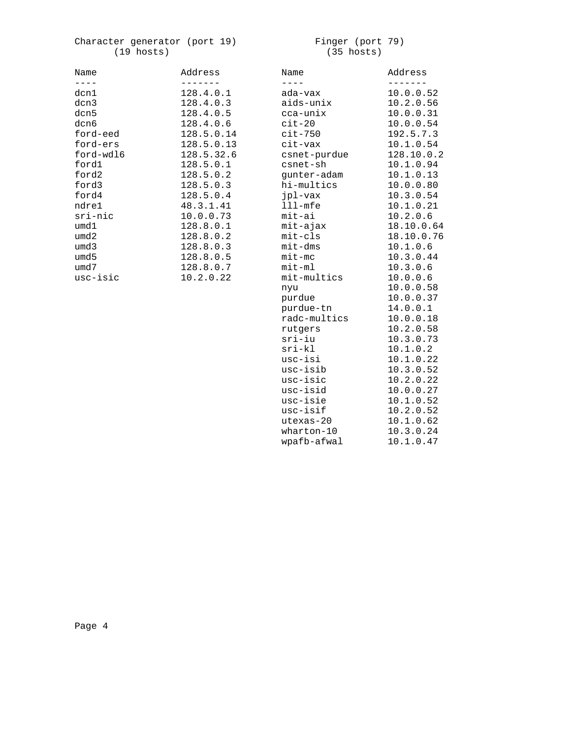## Character generator (port 19) Finger (port 79)  $(19 \text{ hosts})$

# $(35 \text{ hosts})$

| Name      | Address    |
|-----------|------------|
|           |            |
| dcn1      | 128.4.0.1  |
| dcn3      | 128.4.0.3  |
| dcn5      | 128.4.0.5  |
| dcn6      | 128.4.0.6  |
| ford-eed  | 128.5.0.14 |
| ford-ers  | 128.5.0.13 |
| ford-wdl6 | 128.5.32.6 |
| ford1     | 128.5.0.1  |
| ford2     | 128.5.0.2  |
| ford3     | 128.5.0.3  |
| ford4     | 128.5.0.4  |
| ndre1     | 48.3.1.41  |
| sri-nic   | 10.0.0.73  |
| umd1      | 128.8.0.1  |
| umd2      | 128.8.0.2  |
| umd 3     | 128.8.0.3  |
| umd 5     | 128.8.0.5  |
| umd7      | 128.8.0.7  |
| usc-isic  | 10.2.0.22  |

| Name                 | Address    |
|----------------------|------------|
| $- - - -$<br>ada-vax | 10.0.0.52  |
| aids-unix            | 10.2.0.56  |
| cca-unix             | 10.0.0.31  |
| $cit-20$             | 10.0.0.54  |
| $cit-750$            | 192.5.7.3  |
| cit-vax              | 10.1.0.54  |
| csnet-purdue         | 128.10.0.2 |
| csnet-sh             | 10.1.0.94  |
| qunter-adam          | 10.1.0.13  |
| hi-multics           | 10.0.0.80  |
| jpl-vax              | 10.3.0.54  |
| $111$ -mfe           | 10.1.0.21  |
| mit-ai               | 10.2.0.6   |
| mit-ajax             | 18.10.0.64 |
| mit-cls              | 18.10.0.76 |
| mit-dms              | 10.1.0.6   |
| $mit-mc$             | 10.3.0.44  |
| $mit-m1$             | 10.3.0.6   |
| mit-multics          | 10.0.0.6   |
| nyu                  | 10.0.0.58  |
| purdue               | 10.0.0.37  |
| purdue-tn            | 14.0.0.1   |
| radc-multics         | 10.0.0.18  |
| rutgers              | 10.2.0.58  |
| sri-iu               | 10.3.0.73  |
| $sri-kl$             | 10.1.0.2   |
| usc-isi              | 10.1.0.22  |
| usc-isib             | 10.3.0.52  |
| usc-isic             | 10.2.0.22  |
| usc-isid             | 10.0.0.27  |
| usc-isie             | 10.1.0.52  |
| usc-isif             | 10.2.0.52  |
| utexas-20            | 10.1.0.62  |
| wharton-10           | 10.3.0.24  |
| wpafb-afwal          | 10.1.0.47  |